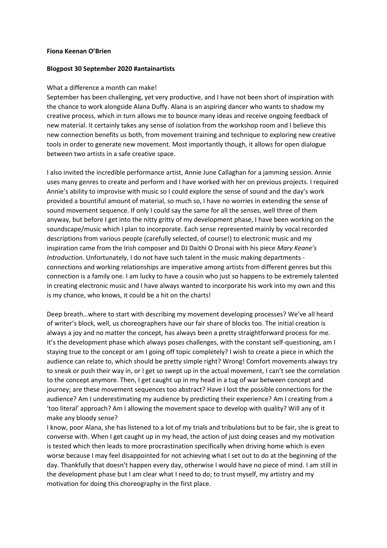## **Fiona Keenan O'Brien**

## **Blogpost 30 September 2020 #antainartists**

## What a difference a month can make!

September has been challenging, yet very productive, and I have not been short of inspiration with the chance to work alongside Alana Duffy. Alana is an aspiring dancer who wants to shadow my creative process, which in turn allows me to bounce many ideas and receive ongoing feedback of new material. It certainly takes any sense of isolation from the workshop room and I believe this new connection benefits us both, from movement training and technique to exploring new creative tools in order to generate new movement. Most importantly though, it allows for open dialogue between two artists in a safe creative space.

I also invited the incredible performance artist, Annie June Callaghan for a jamming session. Annie uses many genres to create and perform and I have worked with her on previous projects. I required Annie's ability to improvise with music so I could explore the sense of sound and the day's work provided a bountiful amount of material, so much so, I have no worries in extending the sense of sound movement sequence. If only I could say the same for all the senses, well three of them anyway, but before I get into the nitty gritty of my development phase, I have been working on the soundscape/music which I plan to incorporate. Each sense represented mainly by vocal recorded descriptions from various people (carefully selected, of course!) to electronic music and my inspiration came from the Irish composer and DJ Daithi O Dronai with his piece *Mary Keane's Introduction*. Unfortunately, I do not have such talent in the music making departments connections and working relationships are imperative among artists from different genres but this connection is a family one. I am lucky to have a cousin who just so happens to be extremely talented in creating electronic music and I have always wanted to incorporate his work into my own and this is my chance, who knows, it could be a hit on the charts!

Deep breath…where to start with describing my movement developing processes? We've all heard of writer's block, well, us choreographers have our fair share of blocks too. The initial creation is always a joy and no matter the concept, has always been a pretty straightforward process for me. It's the development phase which always poses challenges, with the constant self-questioning, am I staying true to the concept or am I going off topic completely? I wish to create a piece in which the audience can relate to, which should be pretty simple right? Wrong! Comfort movements always try to sneak or push their way in, or I get so swept up in the actual movement, I can't see the correlation to the concept anymore. Then, I get caught up in my head in a tug of war between concept and journey; are these movement sequences too abstract? Have I lost the possible connections for the audience? Am I underestimating my audience by predicting their experience? Am I creating from a 'too literal' approach? Am I allowing the movement space to develop with quality? Will any of it make any bloody sense?

I know, poor Alana, she has listened to a lot of my trials and tribulations but to be fair, she is great to converse with. When I get caught up in my head, the action of just doing ceases and my motivation is tested which then leads to more procrastination specifically when driving home which is even worse because I may feel disappointed for not achieving what I set out to do at the beginning of the day. Thankfully that doesn't happen every day, otherwise I would have no piece of mind. I am still in the development phase but I am clear what I need to do; to trust myself, my artistry and my motivation for doing this choreography in the first place.